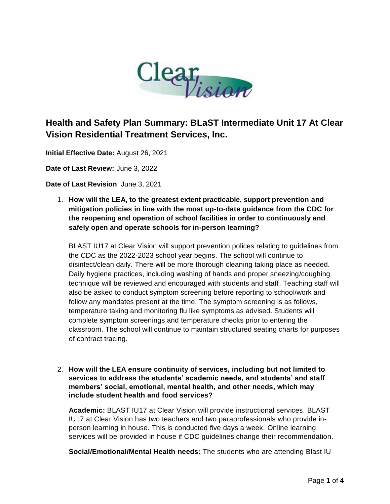

## **Health and Safety Plan Summary: BLaST Intermediate Unit 17 At Clear Vision Residential Treatment Services, Inc.**

**Initial Effective Date:** August 26, 2021

**Date of Last Review:** June 3, 2022

**Date of Last Revision**: June 3, 2021

1. **How will the LEA, to the greatest extent practicable, support prevention and mitigation policies in line with the most up-to-date guidance from the CDC for the reopening and operation of school facilities in order to continuously and safely open and operate schools for in-person learning?** 

BLAST IU17 at Clear Vision will support prevention polices relating to guidelines from the CDC as the 2022-2023 school year begins. The school will continue to disinfect/clean daily. There will be more thorough cleaning taking place as needed. Daily hygiene practices, including washing of hands and proper sneezing/coughing technique will be reviewed and encouraged with students and staff. Teaching staff will also be asked to conduct symptom screening before reporting to school/work and follow any mandates present at the time. The symptom screening is as follows, temperature taking and monitoring flu like symptoms as advised. Students will complete symptom screenings and temperature checks prior to entering the classroom. The school will continue to maintain structured seating charts for purposes of contract tracing.

2. **How will the LEA ensure continuity of services, including but not limited to services to address the students' academic needs, and students' and staff members' social, emotional, mental health, and other needs, which may include student health and food services?**

**Academic:** BLAST IU17 at Clear Vision will provide instructional services. BLAST IU17 at Clear Vision has two teachers and two paraprofessionals who provide inperson learning in house. This is conducted five days a week. Online learning services will be provided in house if CDC guidelines change their recommendation.

**Social/Emotional/Mental Health needs:** The students who are attending Blast IU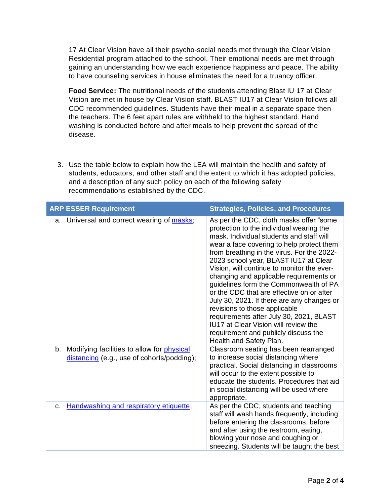17 At Clear Vision have all their psycho-social needs met through the Clear Vision Residential program attached to the school. Their emotional needs are met through gaining an understanding how we each experience happiness and peace. The ability to have counseling services in house eliminates the need for a truancy officer.

**Food Service:** The nutritional needs of the students attending Blast IU 17 at Clear Vision are met in house by Clear Vision staff. BLAST IU17 at Clear Vision follows all CDC recommended guidelines. Students have their meal in a separate space then the teachers. The 6 feet apart rules are withheld to the highest standard. Hand washing is conducted before and after meals to help prevent the spread of the disease.

3. Use the table below to explain how the LEA will maintain the health and safety of students, educators, and other staff and the extent to which it has adopted policies, and a description of any such policy on each of the following safety recommendations established by the CDC.

| <b>ARP ESSER Requirement</b>                                                                | <b>Strategies, Policies, and Procedures</b>                                                                                                                                                                                                                                                                                                                                                                                                                                                                                                                                                                                                                                               |
|---------------------------------------------------------------------------------------------|-------------------------------------------------------------------------------------------------------------------------------------------------------------------------------------------------------------------------------------------------------------------------------------------------------------------------------------------------------------------------------------------------------------------------------------------------------------------------------------------------------------------------------------------------------------------------------------------------------------------------------------------------------------------------------------------|
| Universal and correct wearing of masks;<br>a.                                               | As per the CDC, cloth masks offer "some"<br>protection to the individual wearing the<br>mask. Individual students and staff will<br>wear a face covering to help protect them<br>from breathing in the virus. For the 2022-<br>2023 school year, BLAST IU17 at Clear<br>Vision, will continue to monitor the ever-<br>changing and applicable requirements or<br>guidelines form the Commonwealth of PA<br>or the CDC that are effective on or after<br>July 30, 2021. If there are any changes or<br>revisions to those applicable<br>requirements after July 30, 2021, BLAST<br>IU17 at Clear Vision will review the<br>requirement and publicly discuss the<br>Health and Safety Plan. |
| b. Modifying facilities to allow for physical<br>distancing (e.g., use of cohorts/podding); | Classroom seating has been rearranged<br>to increase social distancing where<br>practical. Social distancing in classrooms<br>will occur to the extent possible to<br>educate the students. Procedures that aid<br>in social distancing will be used where<br>appropriate.                                                                                                                                                                                                                                                                                                                                                                                                                |
| Handwashing and respiratory etiquette;<br>C.                                                | As per the CDC, students and teaching<br>staff will wash hands frequently, including<br>before entering the classrooms, before<br>and after using the restroom, eating,<br>blowing your nose and coughing or<br>sneezing. Students will be taught the best                                                                                                                                                                                                                                                                                                                                                                                                                                |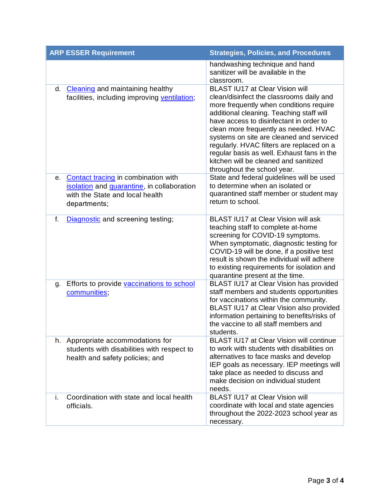| <b>ARP ESSER Requirement</b>                                                                                                               | <b>Strategies, Policies, and Procedures</b>                                                                                                                                                                                                                                                                                                                                                                                                                           |
|--------------------------------------------------------------------------------------------------------------------------------------------|-----------------------------------------------------------------------------------------------------------------------------------------------------------------------------------------------------------------------------------------------------------------------------------------------------------------------------------------------------------------------------------------------------------------------------------------------------------------------|
|                                                                                                                                            | handwashing technique and hand<br>sanitizer will be available in the<br>classroom.                                                                                                                                                                                                                                                                                                                                                                                    |
| <b>Cleaning</b> and maintaining healthy<br>d.<br>facilities, including improving ventilation;                                              | BLAST IU17 at Clear Vision will<br>clean/disinfect the classrooms daily and<br>more frequently when conditions require<br>additional cleaning. Teaching staff will<br>have access to disinfectant in order to<br>clean more frequently as needed. HVAC<br>systems on site are cleaned and serviced<br>regularly. HVAC filters are replaced on a<br>regular basis as well. Exhaust fans in the<br>kitchen will be cleaned and sanitized<br>throughout the school year. |
| Contact tracing in combination with<br>е.<br>isolation and quarantine, in collaboration<br>with the State and local health<br>departments; | State and federal guidelines will be used<br>to determine when an isolated or<br>quarantined staff member or student may<br>return to school.                                                                                                                                                                                                                                                                                                                         |
| f.<br>Diagnostic and screening testing;                                                                                                    | BLAST IU17 at Clear Vision will ask<br>teaching staff to complete at-home<br>screening for COVID-19 symptoms.<br>When symptomatic, diagnostic testing for<br>COVID-19 will be done, if a positive test<br>result is shown the individual will adhere<br>to existing requirements for isolation and<br>quarantine present at the time.                                                                                                                                 |
| Efforts to provide vaccinations to school<br>g.<br>communities,                                                                            | BLAST IU17 at Clear Vision has provided<br>staff members and students opportunities<br>for vaccinations within the community.<br>BLAST IU17 at Clear Vision also provided<br>information pertaining to benefits/risks of<br>the vaccine to all staff members and<br>students.                                                                                                                                                                                         |
| h. Appropriate accommodations for<br>students with disabilities with respect to<br>health and safety policies; and                         | BLAST IU17 at Clear Vision will continue<br>to work with students with disabilities on<br>alternatives to face masks and develop<br>IEP goals as necessary. IEP meetings will<br>take place as needed to discuss and<br>make decision on individual student<br>needs.                                                                                                                                                                                                 |
| i.<br>Coordination with state and local health<br>officials.                                                                               | BLAST IU17 at Clear Vision will<br>coordinate with local and state agencies<br>throughout the 2022-2023 school year as<br>necessary.                                                                                                                                                                                                                                                                                                                                  |